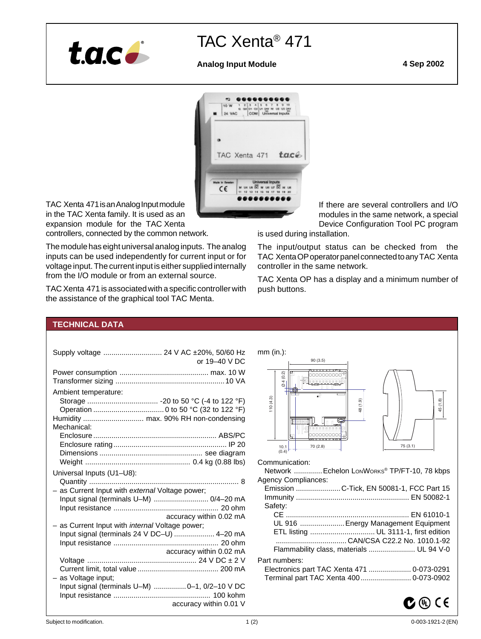

# TAC Xenta® 471

# **Analog Input Module 4 Sep 2002**



TAC Xenta 471 is an Analog Input module in the TAC Xenta family. It is used as an expansion module for the TAC Xenta

controllers, connected by the common network.

The module has eight universal analog inputs. The analog inputs can be used independently for current input or for voltage input. The current input is either supplied internally from the I/O module or from an external source.

TAC Xenta 471 is associated with a specific controller with the assistance of the graphical tool TAC Menta.

If there are several controllers and I/O modules in the same network, a special Device Configuration Tool PC program

is used during installation.

The input/output status can be checked from the TAC Xenta OP operator panel connected to any TAC Xenta controller in the same network.

TAC Xenta OP has a display and a minimum number of push buttons.

# **TECHNICAL DATA**

| Supply voltage  24 V AC ±20%, 50/60 Hz                 |
|--------------------------------------------------------|
| or $19-40$ V DC                                        |
|                                                        |
|                                                        |
| Ambient temperature:                                   |
|                                                        |
|                                                        |
|                                                        |
| Mechanical:                                            |
|                                                        |
|                                                        |
|                                                        |
|                                                        |
| Universal Inputs (U1-U8):                              |
|                                                        |
| - as Current Input with external Voltage power;        |
| Input signal (terminals U-M)  0/4-20 mA                |
|                                                        |
| accuracy within 0.02 mA                                |
| - as Current Input with <i>internal</i> Voltage power; |
| Input signal (terminals 24 V DC-U)  4-20 mA            |
|                                                        |
| accuracy within 0.02 mA                                |
|                                                        |
|                                                        |
| as Voltage input;                                      |
| Input signal (terminals U-M)  0-1, 0/2-10 V DC         |
|                                                        |
| accuracy within 0.01 V                                 |
|                                                        |



|               | Emission  C-Tick, EN 50081-1, FCC Part 15 |
|---------------|-------------------------------------------|
|               |                                           |
| Safety:       |                                           |
|               |                                           |
|               | UL 916  Energy Management Equipment       |
|               |                                           |
|               |                                           |
|               | Flammability class, materials  UL 94 V-0  |
| Part numbers: |                                           |
|               |                                           |
|               | Terminal part TAC Xenta 400 0-073-0902    |
|               |                                           |